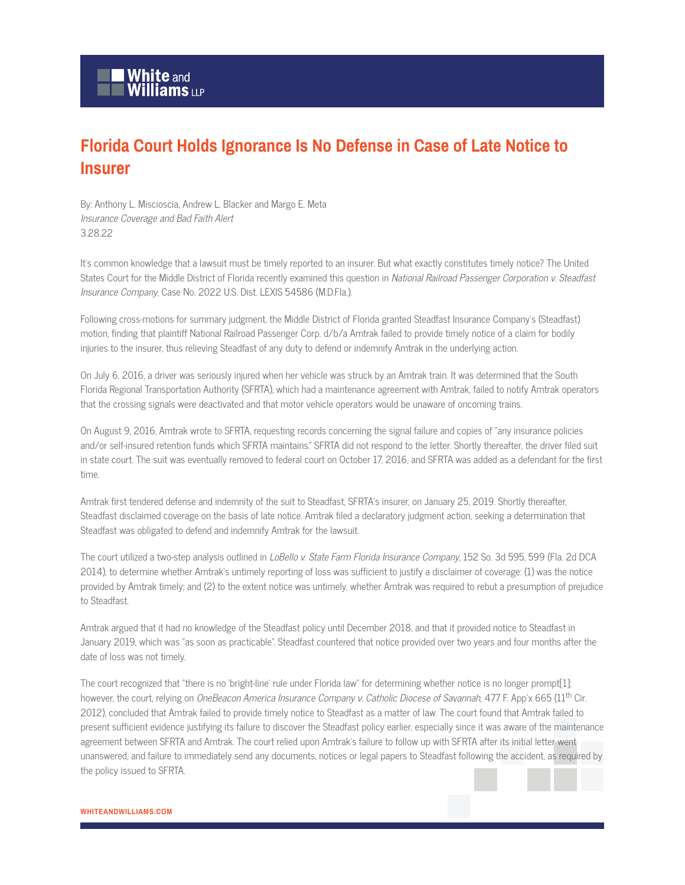## **Florida Court Holds Ignorance Is No Defense in Case of Late Notice to Insurer**

By: Anthony L. Miscioscia, Andrew L. Blacker and Margo E. Meta Insurance Coverage and Bad Faith Alert 3.28.22

It's common knowledge that a lawsuit must be timely reported to an insurer. But what exactly constitutes timely notice? The United States Court for the Middle District of Florida recently examined this question in National Railroad Passenger Corporation v. Steadfast Insurance Company, Case No. 2022 U.S. Dist. LEXIS 54586 (M.D.Fla.).

Following cross-motions for summary judgment, the Middle District of Florida granted Steadfast Insurance Company's (Steadfast) motion, finding that plaintiff National Railroad Passenger Corp. d/b/a Amtrak failed to provide timely notice of a claim for bodily injuries to the insurer, thus relieving Steadfast of any duty to defend or indemnify Amtrak in the underlying action.

On July 6, 2016, a driver was seriously injured when her vehicle was struck by an Amtrak train. It was determined that the South Florida Regional Transportation Authority (SFRTA), which had a maintenance agreement with Amtrak, failed to notify Amtrak operators that the crossing signals were deactivated and that motor vehicle operators would be unaware of oncoming trains.

On August 9, 2016, Amtrak wrote to SFRTA, requesting records concerning the signal failure and copies of "any insurance policies and/or self-insured retention funds which SFRTA maintains." SFRTA did not respond to the letter. Shortly thereafter, the driver filed suit in state court. The suit was eventually removed to federal court on October 17, 2016, and SFRTA was added as a defendant for the first time.

Amtrak first tendered defense and indemnity of the suit to Steadfast, SFRTA's insurer, on January 25, 2019. Shortly thereafter, Steadfast disclaimed coverage on the basis of late notice. Amtrak filed a declaratory judgment action, seeking a determination that Steadfast was obligated to defend and indemnify Amtrak for the lawsuit.

The court utilized a two-step analysis outlined in *LoBello v. State Farm Florida Insurance Company*, 152 So. 3d 595, 599 (Fla. 2d DCA 2014), to determine whether Amtrak's untimely reporting of loss was sufficient to justify a disclaimer of coverage: (1) was the notice provided by Amtrak timely; and (2) to the extent notice was untimely, whether Amtrak was required to rebut a presumption of prejudice to Steadfast.

Amtrak argued that it had no knowledge of the Steadfast policy until December 2018, and that it provided notice to Steadfast in January 2019, which was "as soon as practicable". Steadfast countered that notice provided over two years and four months after the date of loss was not timely.

The court recognized that "there is no 'bright-line' rule under Florida law" for determining whether notice is no longer prompt[1]; however, the court, relying on *OneBeacon America Insurance Company v. Catholic Diocese of Savannah*, 477 F. App'x 665 (11<sup>th</sup> Cir. 2012), concluded that Amtrak failed to provide timely notice to Steadfast as a matter of law. The court found that Amtrak failed to present sufficient evidence justifying its failure to discover the Steadfast policy earlier, especially since it was aware of the maintenance agreement between SFRTA and Amtrak. The court relied upon Amtrak's failure to follow up with SFRTA after its initial letter went unanswered, and failure to immediately send any documents, notices or legal papers to Steadfast following the accident, as required by the policy issued to SFRTA.